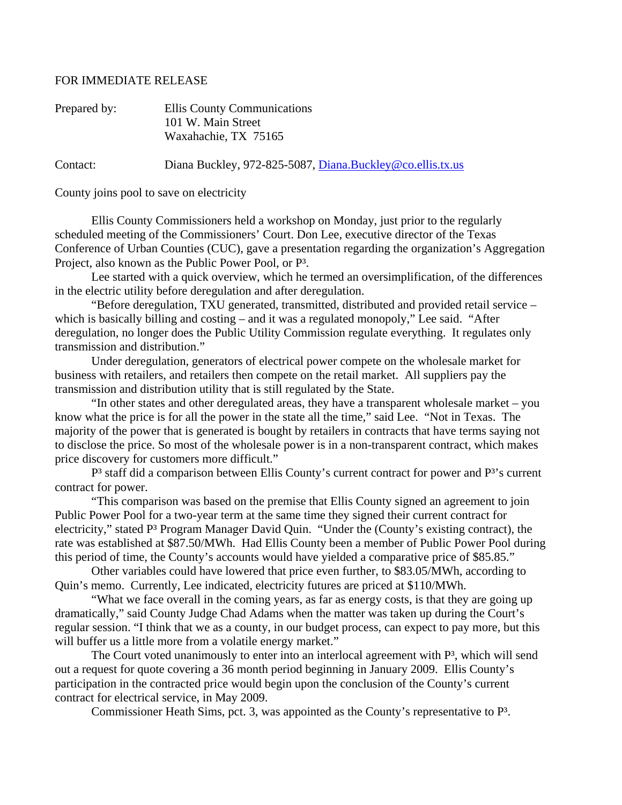## FOR IMMEDIATE RELEASE

| Prepared by: | Ellis County Communications<br>101 W. Main Street<br>Waxahachie, TX 75165 |
|--------------|---------------------------------------------------------------------------|
| Contact:     | Diana Buckley, 972-825-5087, Diana.Buckley@co.ellis.tx.us                 |

County joins pool to save on electricity

 Ellis County Commissioners held a workshop on Monday, just prior to the regularly scheduled meeting of the Commissioners' Court. Don Lee, executive director of the Texas Conference of Urban Counties (CUC), gave a presentation regarding the organization's Aggregation Project, also known as the Public Power Pool, or P³.

 Lee started with a quick overview, which he termed an oversimplification, of the differences in the electric utility before deregulation and after deregulation.

 "Before deregulation, TXU generated, transmitted, distributed and provided retail service – which is basically billing and costing – and it was a regulated monopoly," Lee said. "After deregulation, no longer does the Public Utility Commission regulate everything. It regulates only transmission and distribution."

 Under deregulation, generators of electrical power compete on the wholesale market for business with retailers, and retailers then compete on the retail market. All suppliers pay the transmission and distribution utility that is still regulated by the State.

 "In other states and other deregulated areas, they have a transparent wholesale market – you know what the price is for all the power in the state all the time," said Lee. "Not in Texas. The majority of the power that is generated is bought by retailers in contracts that have terms saying not to disclose the price. So most of the wholesale power is in a non-transparent contract, which makes price discovery for customers more difficult."

P<sup>3</sup> staff did a comparison between Ellis County's current contract for power and P<sup>3</sup>'s current contract for power.

 "This comparison was based on the premise that Ellis County signed an agreement to join Public Power Pool for a two-year term at the same time they signed their current contract for electricity," stated P<sup>3</sup> Program Manager David Quin. "Under the (County's existing contract), the rate was established at \$87.50/MWh. Had Ellis County been a member of Public Power Pool during this period of time, the County's accounts would have yielded a comparative price of \$85.85."

 Other variables could have lowered that price even further, to \$83.05/MWh, according to Quin's memo. Currently, Lee indicated, electricity futures are priced at \$110/MWh.

 "What we face overall in the coming years, as far as energy costs, is that they are going up dramatically," said County Judge Chad Adams when the matter was taken up during the Court's regular session. "I think that we as a county, in our budget process, can expect to pay more, but this will buffer us a little more from a volatile energy market."

The Court voted unanimously to enter into an interlocal agreement with  $P^3$ , which will send out a request for quote covering a 36 month period beginning in January 2009. Ellis County's participation in the contracted price would begin upon the conclusion of the County's current contract for electrical service, in May 2009.

Commissioner Heath Sims, pct. 3, was appointed as the County's representative to P³.